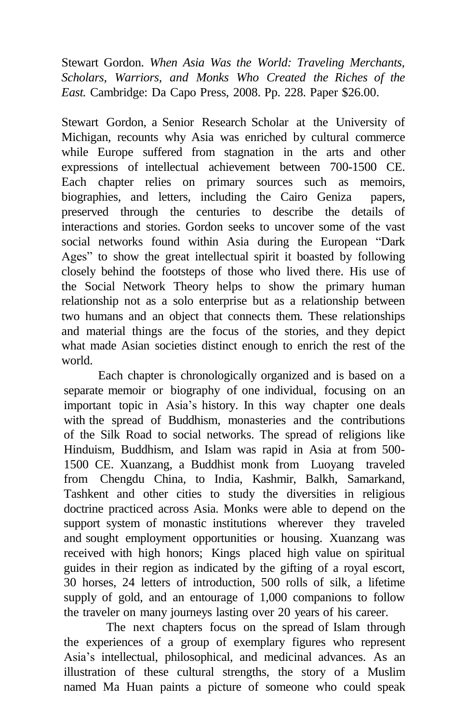Stewart Gordon. *When Asia Was the World: Traveling Merchants, Scholars, Warriors, and Monks Who Created the Riches of the East.* Cambridge: Da Capo Press, 2008. Pp. 228. Paper \$26.00.

Stewart Gordon, a Senior Research Scholar at the University of Michigan, recounts why Asia was enriched by cultural commerce while Europe suffered from stagnation in the arts and other expressions of intellectual achievement between 700-1500 CE. Each chapter relies on primary sources such as memoirs, biographies, and letters, including the Cairo Geniza papers, preserved through the centuries to describe the details of interactions and stories. Gordon seeks to uncover some of the vast social networks found within Asia during the European "Dark Ages" to show the great intellectual spirit it boasted by following closely behind the footsteps of those who lived there. His use of the Social Network Theory helps to show the primary human relationship not as a solo enterprise but as a relationship between two humans and an object that connects them. These relationships and material things are the focus of the stories, and they depict what made Asian societies distinct enough to enrich the rest of the world.

Each chapter is chronologically organized and is based on a separate memoir or biography of one individual, focusing on an important topic in Asia's history. In this way chapter one deals with the spread of Buddhism, monasteries and the contributions of the Silk Road to social networks. The spread of religions like Hinduism, Buddhism, and Islam was rapid in Asia at from 500- 1500 CE. Xuanzang, a Buddhist monk from Luoyang traveled from Chengdu China, to India, Kashmir, Balkh, Samarkand, Tashkent and other cities to study the diversities in religious doctrine practiced across Asia. Monks were able to depend on the support system of monastic institutions wherever they traveled and sought employment opportunities or housing. Xuanzang was received with high honors; Kings placed high value on spiritual guides in their region as indicated by the gifting of a royal escort, 30 horses, 24 letters of introduction, 500 rolls of silk, a lifetime supply of gold, and an entourage of 1,000 companions to follow the traveler on many journeys lasting over 20 years of his career.

The next chapters focus on the spread of Islam through the experiences of a group of exemplary figures who represent Asia's intellectual, philosophical, and medicinal advances. As an illustration of these cultural strengths, the story of a Muslim named Ma Huan paints a picture of someone who could speak